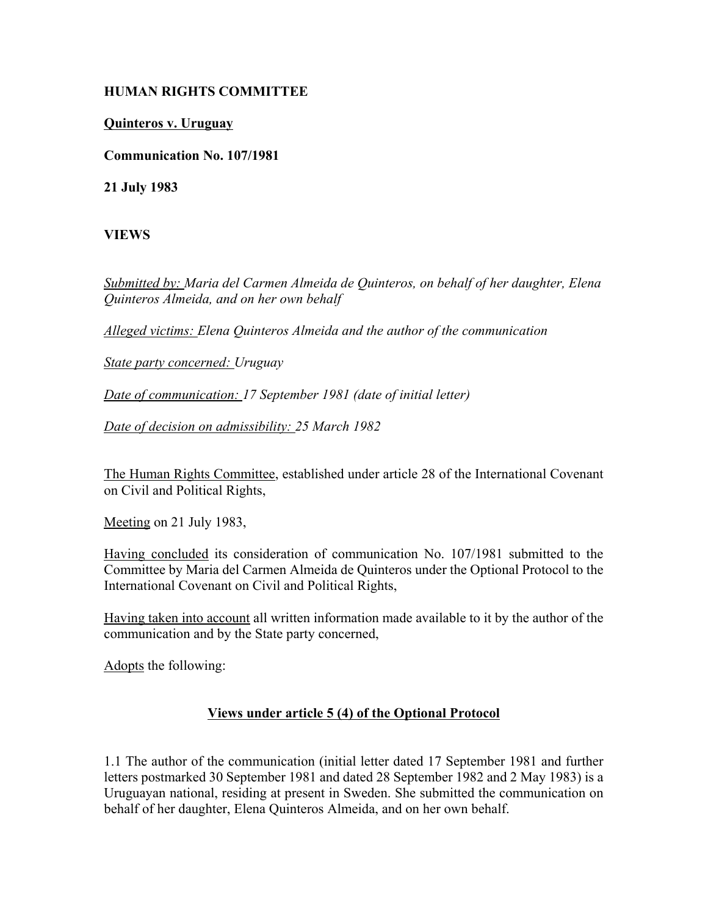## **HUMAN RIGHTS COMMITTEE**

## **Quinteros v. Uruguay**

**Communication No. 107/1981**

**21 July 1983**

**VIEWS**

*Submitted by: Maria del Carmen Almeida de Quinteros, on behalf of her daughter, Elena Quinteros Almeida, and on her own behalf* 

*Alleged victims: Elena Quinteros Almeida and the author of the communication* 

*State party concerned: Uruguay* 

*Date of communication: 17 September 1981 (date of initial letter)* 

*Date of decision on admissibility: 25 March 1982*

The Human Rights Committee, established under article 28 of the International Covenant on Civil and Political Rights,

Meeting on 21 July 1983,

Having concluded its consideration of communication No. 107/1981 submitted to the Committee by Maria del Carmen Almeida de Quinteros under the Optional Protocol to the International Covenant on Civil and Political Rights,

Having taken into account all written information made available to it by the author of the communication and by the State party concerned,

Adopts the following:

## **Views under article 5 (4) of the Optional Protocol**

1.1 The author of the communication (initial letter dated 17 September 1981 and further letters postmarked 30 September 1981 and dated 28 September 1982 and 2 May 1983) is a Uruguayan national, residing at present in Sweden. She submitted the communication on behalf of her daughter, Elena Quinteros Almeida, and on her own behalf.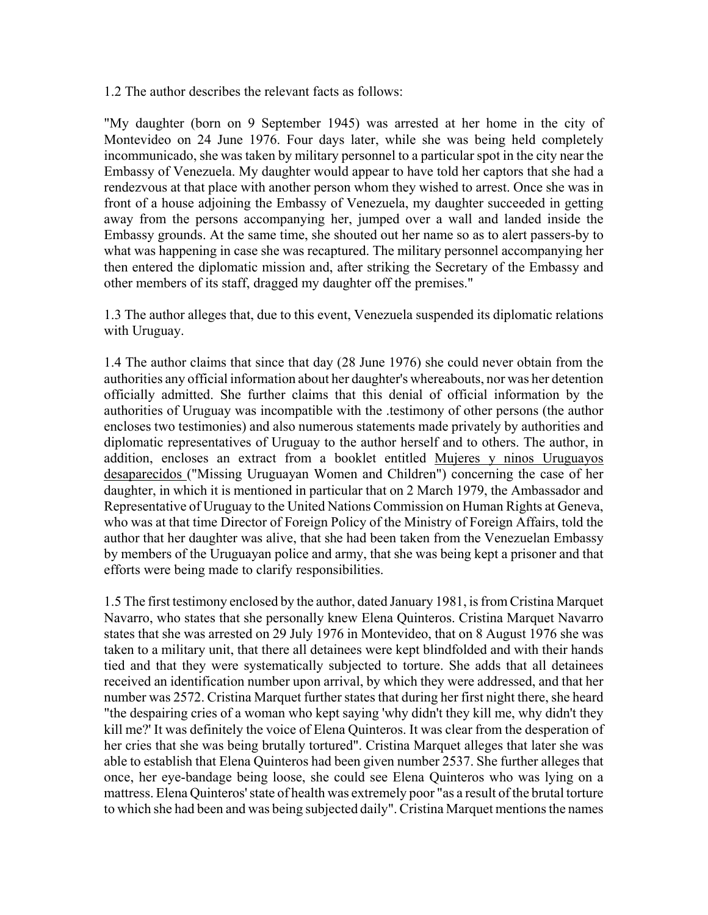1.2 The author describes the relevant facts as follows:

"My daughter (born on 9 September 1945) was arrested at her home in the city of Montevideo on 24 June 1976. Four days later, while she was being held completely incommunicado, she was taken by military personnel to a particular spot in the city near the Embassy of Venezuela. My daughter would appear to have told her captors that she had a rendezvous at that place with another person whom they wished to arrest. Once she was in front of a house adjoining the Embassy of Venezuela, my daughter succeeded in getting away from the persons accompanying her, jumped over a wall and landed inside the Embassy grounds. At the same time, she shouted out her name so as to alert passers-by to what was happening in case she was recaptured. The military personnel accompanying her then entered the diplomatic mission and, after striking the Secretary of the Embassy and other members of its staff, dragged my daughter off the premises."

1.3 The author alleges that, due to this event, Venezuela suspended its diplomatic relations with Uruguay.

1.4 The author claims that since that day (28 June 1976) she could never obtain from the authorities any official information about her daughter's whereabouts, nor was her detention officially admitted. She further claims that this denial of official information by the authorities of Uruguay was incompatible with the .testimony of other persons (the author encloses two testimonies) and also numerous statements made privately by authorities and diplomatic representatives of Uruguay to the author herself and to others. The author, in addition, encloses an extract from a booklet entitled Mujeres y ninos Uruguayos desaparecidos ("Missing Uruguayan Women and Children") concerning the case of her daughter, in which it is mentioned in particular that on 2 March 1979, the Ambassador and Representative of Uruguay to the United Nations Commission on Human Rights at Geneva, who was at that time Director of Foreign Policy of the Ministry of Foreign Affairs, told the author that her daughter was alive, that she had been taken from the Venezuelan Embassy by members of the Uruguayan police and army, that she was being kept a prisoner and that efforts were being made to clarify responsibilities.

1.5 The first testimony enclosed by the author, dated January 1981, is from Cristina Marquet Navarro, who states that she personally knew Elena Quinteros. Cristina Marquet Navarro states that she was arrested on 29 July 1976 in Montevideo, that on 8 August 1976 she was taken to a military unit, that there all detainees were kept blindfolded and with their hands tied and that they were systematically subjected to torture. She adds that all detainees received an identification number upon arrival, by which they were addressed, and that her number was 2572. Cristina Marquet further states that during her first night there, she heard "the despairing cries of a woman who kept saying 'why didn't they kill me, why didn't they kill me?' It was definitely the voice of Elena Quinteros. It was clear from the desperation of her cries that she was being brutally tortured". Cristina Marquet alleges that later she was able to establish that Elena Quinteros had been given number 2537. She further alleges that once, her eye-bandage being loose, she could see Elena Quinteros who was lying on a mattress. Elena Quinteros' state of health was extremely poor "as a result of the brutal torture to which she had been and was being subjected daily". Cristina Marquet mentions the names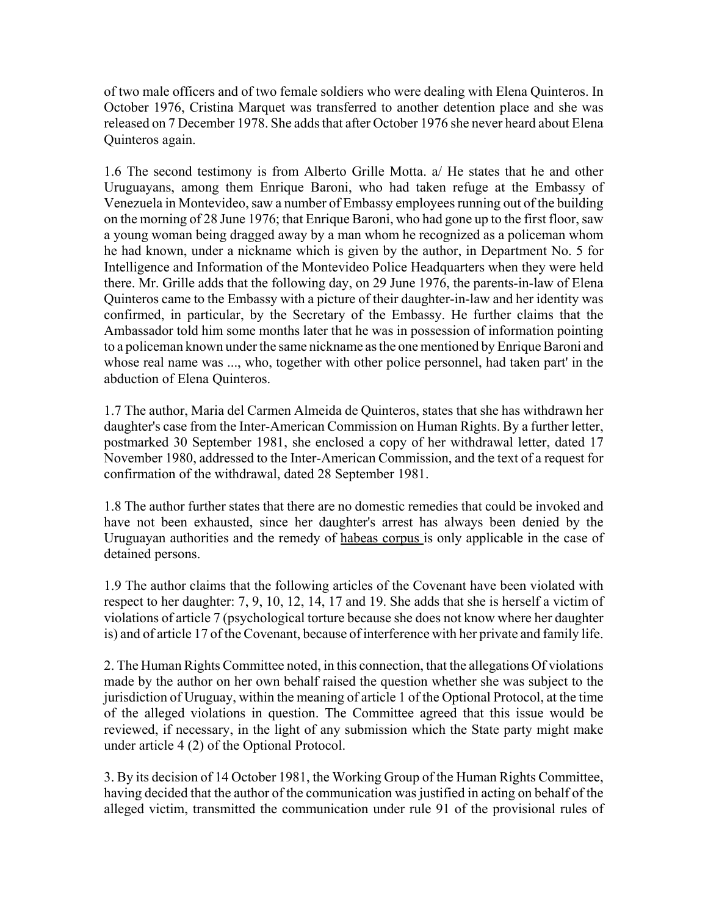of two male officers and of two female soldiers who were dealing with Elena Quinteros. In October 1976, Cristina Marquet was transferred to another detention place and she was released on 7 December 1978. She adds that after October 1976 she never heard about Elena Quinteros again.

1.6 The second testimony is from Alberto Grille Motta. a/ He states that he and other Uruguayans, among them Enrique Baroni, who had taken refuge at the Embassy of Venezuela in Montevideo, saw a number of Embassy employees running out of the building on the morning of 28 June 1976; that Enrique Baroni, who had gone up to the first floor, saw a young woman being dragged away by a man whom he recognized as a policeman whom he had known, under a nickname which is given by the author, in Department No. 5 for Intelligence and Information of the Montevideo Police Headquarters when they were held there. Mr. Grille adds that the following day, on 29 June 1976, the parents-in-law of Elena Quinteros came to the Embassy with a picture of their daughter-in-law and her identity was confirmed, in particular, by the Secretary of the Embassy. He further claims that the Ambassador told him some months later that he was in possession of information pointing to a policeman known under the same nickname as the one mentioned by Enrique Baroni and whose real name was ..., who, together with other police personnel, had taken part' in the abduction of Elena Quinteros.

1.7 The author, Maria del Carmen Almeida de Quinteros, states that she has withdrawn her daughter's case from the Inter-American Commission on Human Rights. By a further letter, postmarked 30 September 1981, she enclosed a copy of her withdrawal letter, dated 17 November 1980, addressed to the Inter-American Commission, and the text of a request for confirmation of the withdrawal, dated 28 September 1981.

1.8 The author further states that there are no domestic remedies that could be invoked and have not been exhausted, since her daughter's arrest has always been denied by the Uruguayan authorities and the remedy of habeas corpus is only applicable in the case of detained persons.

1.9 The author claims that the following articles of the Covenant have been violated with respect to her daughter: 7, 9, 10, 12, 14, 17 and 19. She adds that she is herself a victim of violations of article 7 (psychological torture because she does not know where her daughter is) and of article 17 of the Covenant, because of interference with her private and family life.

2. The Human Rights Committee noted, in this connection, that the allegations Of violations made by the author on her own behalf raised the question whether she was subject to the jurisdiction of Uruguay, within the meaning of article 1 of the Optional Protocol, at the time of the alleged violations in question. The Committee agreed that this issue would be reviewed, if necessary, in the light of any submission which the State party might make under article 4 (2) of the Optional Protocol.

3. By its decision of 14 October 1981, the Working Group of the Human Rights Committee, having decided that the author of the communication was justified in acting on behalf of the alleged victim, transmitted the communication under rule 91 of the provisional rules of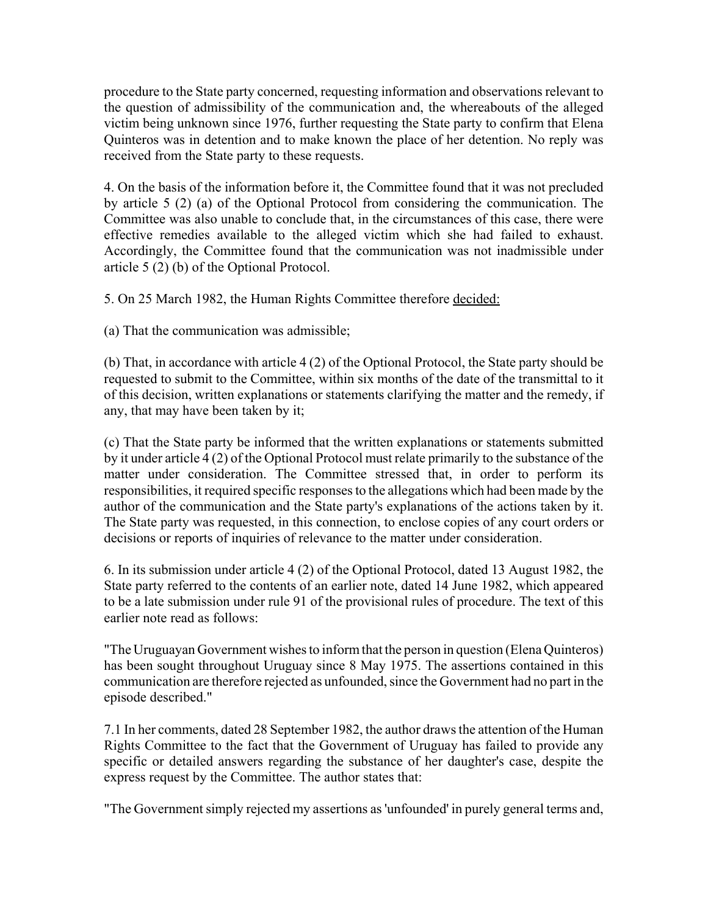procedure to the State party concerned, requesting information and observations relevant to the question of admissibility of the communication and, the whereabouts of the alleged victim being unknown since 1976, further requesting the State party to confirm that Elena Quinteros was in detention and to make known the place of her detention. No reply was received from the State party to these requests.

4. On the basis of the information before it, the Committee found that it was not precluded by article 5 (2) (a) of the Optional Protocol from considering the communication. The Committee was also unable to conclude that, in the circumstances of this case, there were effective remedies available to the alleged victim which she had failed to exhaust. Accordingly, the Committee found that the communication was not inadmissible under article 5 (2) (b) of the Optional Protocol.

5. On 25 March 1982, the Human Rights Committee therefore decided:

(a) That the communication was admissible;

(b) That, in accordance with article 4 (2) of the Optional Protocol, the State party should be requested to submit to the Committee, within six months of the date of the transmittal to it of this decision, written explanations or statements clarifying the matter and the remedy, if any, that may have been taken by it;

(c) That the State party be informed that the written explanations or statements submitted by it under article 4 (2) of the Optional Protocol must relate primarily to the substance of the matter under consideration. The Committee stressed that, in order to perform its responsibilities, it required specific responses to the allegations which had been made by the author of the communication and the State party's explanations of the actions taken by it. The State party was requested, in this connection, to enclose copies of any court orders or decisions or reports of inquiries of relevance to the matter under consideration.

6. In its submission under article 4 (2) of the Optional Protocol, dated 13 August 1982, the State party referred to the contents of an earlier note, dated 14 June 1982, which appeared to be a late submission under rule 91 of the provisional rules of procedure. The text of this earlier note read as follows:

"The Uruguayan Government wishes to inform that the person in question (Elena Quinteros) has been sought throughout Uruguay since 8 May 1975. The assertions contained in this communication are therefore rejected as unfounded, since the Government had no part in the episode described."

7.1 In her comments, dated 28 September 1982, the author draws the attention of the Human Rights Committee to the fact that the Government of Uruguay has failed to provide any specific or detailed answers regarding the substance of her daughter's case, despite the express request by the Committee. The author states that:

"The Government simply rejected my assertions as 'unfounded' in purely general terms and,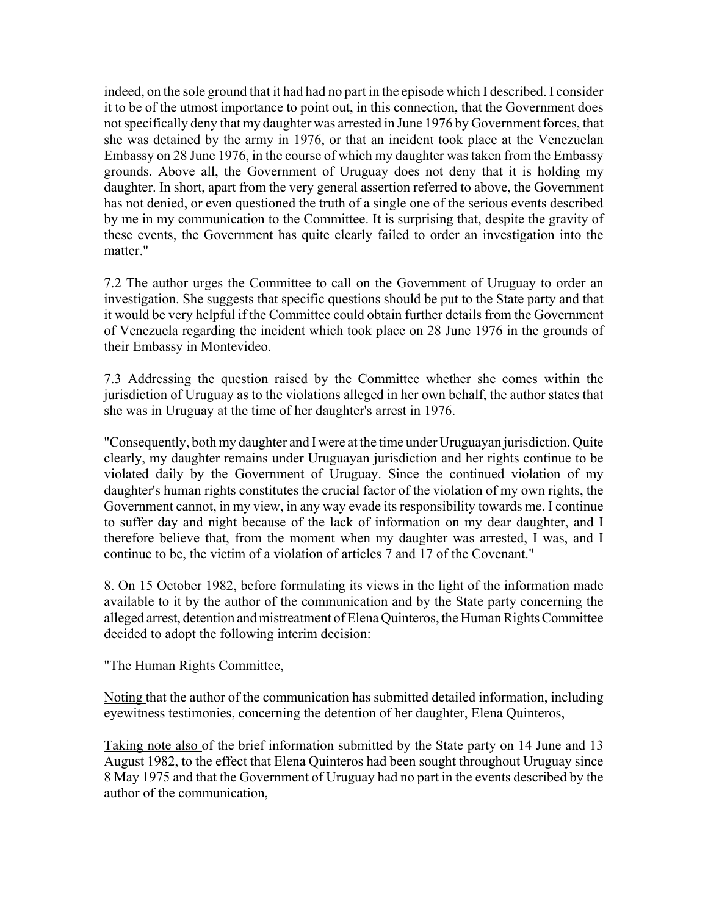indeed, on the sole ground that it had had no part in the episode which I described. I consider it to be of the utmost importance to point out, in this connection, that the Government does not specifically deny that my daughter was arrested in June 1976 by Government forces, that she was detained by the army in 1976, or that an incident took place at the Venezuelan Embassy on 28 June 1976, in the course of which my daughter was taken from the Embassy grounds. Above all, the Government of Uruguay does not deny that it is holding my daughter. In short, apart from the very general assertion referred to above, the Government has not denied, or even questioned the truth of a single one of the serious events described by me in my communication to the Committee. It is surprising that, despite the gravity of these events, the Government has quite clearly failed to order an investigation into the matter."

7.2 The author urges the Committee to call on the Government of Uruguay to order an investigation. She suggests that specific questions should be put to the State party and that it would be very helpful if the Committee could obtain further details from the Government of Venezuela regarding the incident which took place on 28 June 1976 in the grounds of their Embassy in Montevideo.

7.3 Addressing the question raised by the Committee whether she comes within the jurisdiction of Uruguay as to the violations alleged in her own behalf, the author states that she was in Uruguay at the time of her daughter's arrest in 1976.

"Consequently, both my daughter and I were at the time under Uruguayan jurisdiction. Quite clearly, my daughter remains under Uruguayan jurisdiction and her rights continue to be violated daily by the Government of Uruguay. Since the continued violation of my daughter's human rights constitutes the crucial factor of the violation of my own rights, the Government cannot, in my view, in any way evade its responsibility towards me. I continue to suffer day and night because of the lack of information on my dear daughter, and I therefore believe that, from the moment when my daughter was arrested, I was, and I continue to be, the victim of a violation of articles 7 and 17 of the Covenant."

8. On 15 October 1982, before formulating its views in the light of the information made available to it by the author of the communication and by the State party concerning the alleged arrest, detention and mistreatment of Elena Quinteros, the Human Rights Committee decided to adopt the following interim decision:

"The Human Rights Committee,

Noting that the author of the communication has submitted detailed information, including eyewitness testimonies, concerning the detention of her daughter, Elena Quinteros,

Taking note also of the brief information submitted by the State party on 14 June and 13 August 1982, to the effect that Elena Quinteros had been sought throughout Uruguay since 8 May 1975 and that the Government of Uruguay had no part in the events described by the author of the communication,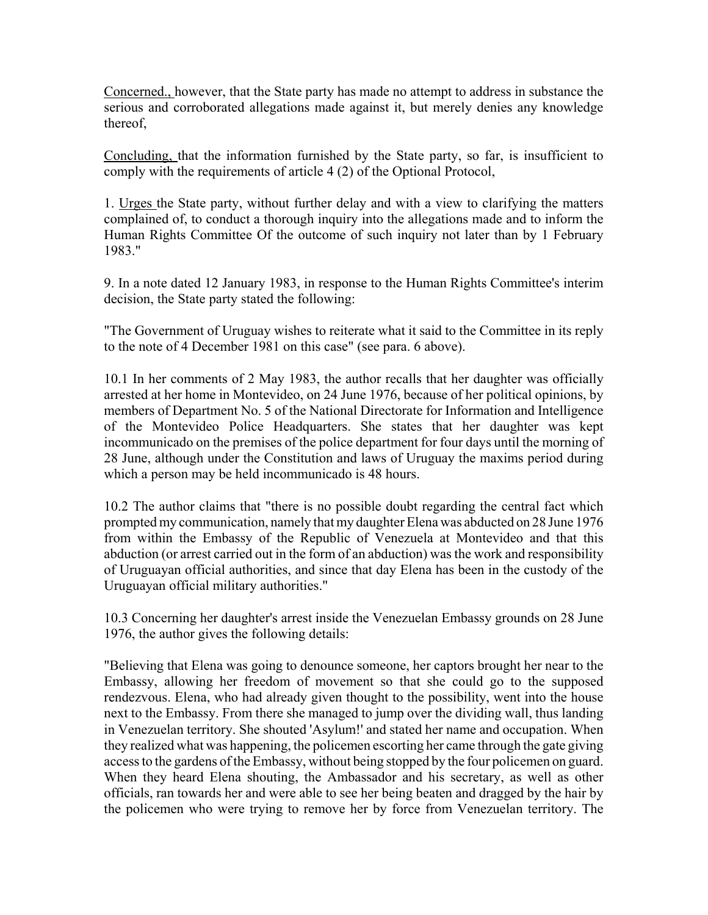Concerned., however, that the State party has made no attempt to address in substance the serious and corroborated allegations made against it, but merely denies any knowledge thereof,

Concluding, that the information furnished by the State party, so far, is insufficient to comply with the requirements of article 4 (2) of the Optional Protocol,

1. Urges the State party, without further delay and with a view to clarifying the matters complained of, to conduct a thorough inquiry into the allegations made and to inform the Human Rights Committee Of the outcome of such inquiry not later than by 1 February 1983."

9. In a note dated 12 January 1983, in response to the Human Rights Committee's interim decision, the State party stated the following:

"The Government of Uruguay wishes to reiterate what it said to the Committee in its reply to the note of 4 December 1981 on this case" (see para. 6 above).

10.1 In her comments of 2 May 1983, the author recalls that her daughter was officially arrested at her home in Montevideo, on 24 June 1976, because of her political opinions, by members of Department No. 5 of the National Directorate for Information and Intelligence of the Montevideo Police Headquarters. She states that her daughter was kept incommunicado on the premises of the police department for four days until the morning of 28 June, although under the Constitution and laws of Uruguay the maxims period during which a person may be held incommunicado is 48 hours.

10.2 The author claims that "there is no possible doubt regarding the central fact which prompted my communication, namely that my daughter Elena was abducted on 28 June 1976 from within the Embassy of the Republic of Venezuela at Montevideo and that this abduction (or arrest carried out in the form of an abduction) was the work and responsibility of Uruguayan official authorities, and since that day Elena has been in the custody of the Uruguayan official military authorities."

10.3 Concerning her daughter's arrest inside the Venezuelan Embassy grounds on 28 June 1976, the author gives the following details:

"Believing that Elena was going to denounce someone, her captors brought her near to the Embassy, allowing her freedom of movement so that she could go to the supposed rendezvous. Elena, who had already given thought to the possibility, went into the house next to the Embassy. From there she managed to jump over the dividing wall, thus landing in Venezuelan territory. She shouted 'Asylum!' and stated her name and occupation. When they realized what was happening, the policemen escorting her came through the gate giving access to the gardens of the Embassy, without being stopped by the four policemen on guard. When they heard Elena shouting, the Ambassador and his secretary, as well as other officials, ran towards her and were able to see her being beaten and dragged by the hair by the policemen who were trying to remove her by force from Venezuelan territory. The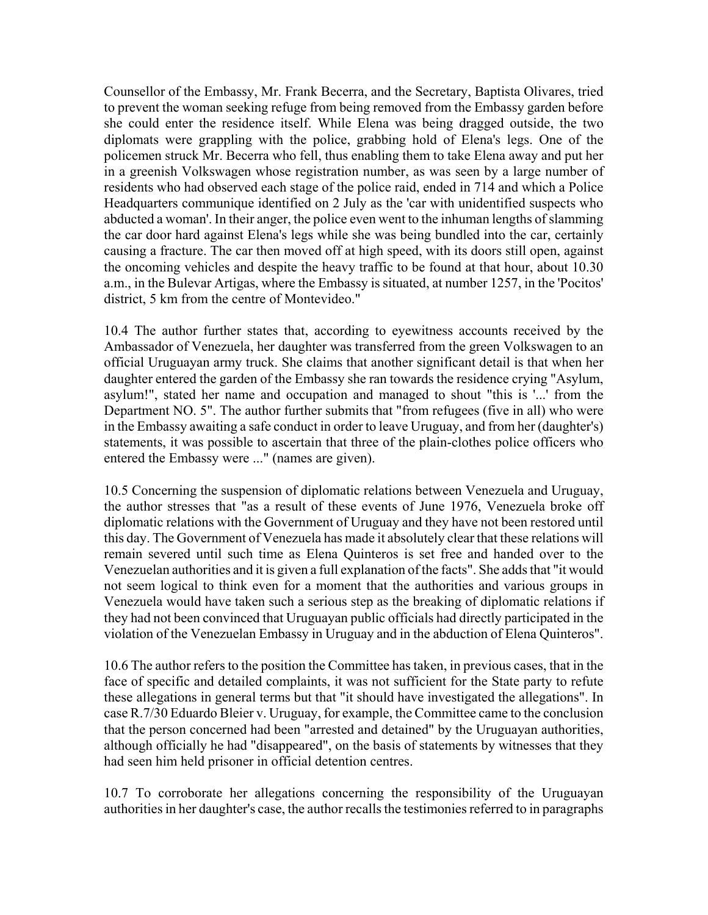Counsellor of the Embassy, Mr. Frank Becerra, and the Secretary, Baptista Olivares, tried to prevent the woman seeking refuge from being removed from the Embassy garden before she could enter the residence itself. While Elena was being dragged outside, the two diplomats were grappling with the police, grabbing hold of Elena's legs. One of the policemen struck Mr. Becerra who fell, thus enabling them to take Elena away and put her in a greenish Volkswagen whose registration number, as was seen by a large number of residents who had observed each stage of the police raid, ended in 714 and which a Police Headquarters communique identified on 2 July as the 'car with unidentified suspects who abducted a woman'. In their anger, the police even went to the inhuman lengths of slamming the car door hard against Elena's legs while she was being bundled into the car, certainly causing a fracture. The car then moved off at high speed, with its doors still open, against the oncoming vehicles and despite the heavy traffic to be found at that hour, about 10.30 a.m., in the Bulevar Artigas, where the Embassy is situated, at number 1257, in the 'Pocitos' district, 5 km from the centre of Montevideo."

10.4 The author further states that, according to eyewitness accounts received by the Ambassador of Venezuela, her daughter was transferred from the green Volkswagen to an official Uruguayan army truck. She claims that another significant detail is that when her daughter entered the garden of the Embassy she ran towards the residence crying "Asylum, asylum!", stated her name and occupation and managed to shout "this is '...' from the Department NO. 5". The author further submits that "from refugees (five in all) who were in the Embassy awaiting a safe conduct in order to leave Uruguay, and from her (daughter's) statements, it was possible to ascertain that three of the plain-clothes police officers who entered the Embassy were ..." (names are given).

10.5 Concerning the suspension of diplomatic relations between Venezuela and Uruguay, the author stresses that "as a result of these events of June 1976, Venezuela broke off diplomatic relations with the Government of Uruguay and they have not been restored until this day. The Government of Venezuela has made it absolutely clear that these relations will remain severed until such time as Elena Quinteros is set free and handed over to the Venezuelan authorities and it is given a full explanation of the facts". She adds that "it would not seem logical to think even for a moment that the authorities and various groups in Venezuela would have taken such a serious step as the breaking of diplomatic relations if they had not been convinced that Uruguayan public officials had directly participated in the violation of the Venezuelan Embassy in Uruguay and in the abduction of Elena Quinteros".

10.6 The author refers to the position the Committee has taken, in previous cases, that in the face of specific and detailed complaints, it was not sufficient for the State party to refute these allegations in general terms but that "it should have investigated the allegations". In case R.7/30 Eduardo Bleier v. Uruguay, for example, the Committee came to the conclusion that the person concerned had been "arrested and detained" by the Uruguayan authorities, although officially he had "disappeared", on the basis of statements by witnesses that they had seen him held prisoner in official detention centres.

10.7 To corroborate her allegations concerning the responsibility of the Uruguayan authorities in her daughter's case, the author recalls the testimonies referred to in paragraphs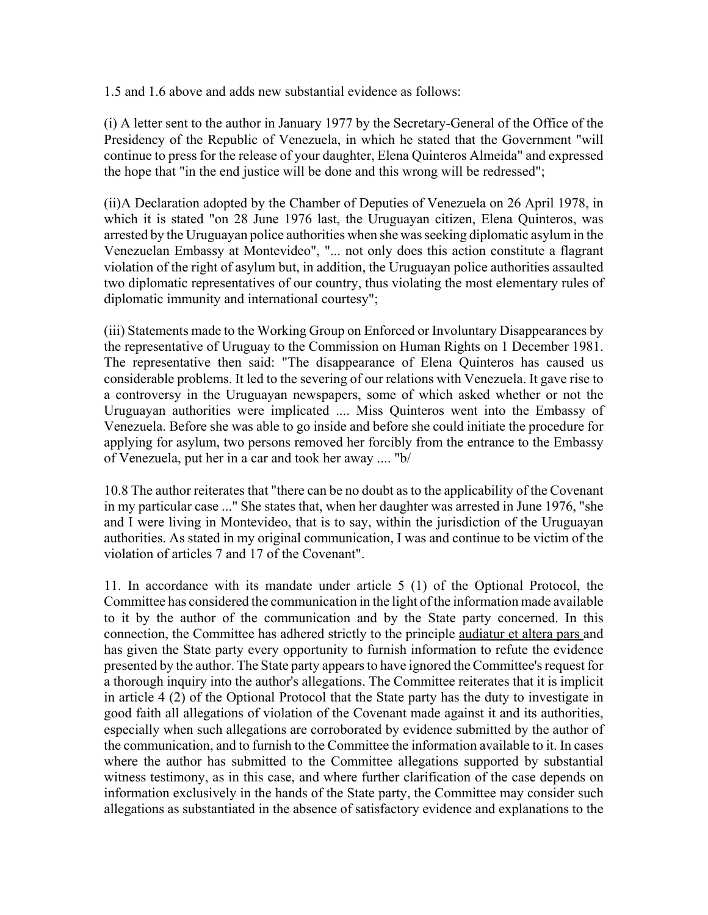1.5 and 1.6 above and adds new substantial evidence as follows:

(i) A letter sent to the author in January 1977 by the Secretary-General of the Office of the Presidency of the Republic of Venezuela, in which he stated that the Government "will continue to press for the release of your daughter, Elena Quinteros Almeida" and expressed the hope that "in the end justice will be done and this wrong will be redressed";

(ii)A Declaration adopted by the Chamber of Deputies of Venezuela on 26 April 1978, in which it is stated "on 28 June 1976 last, the Uruguayan citizen, Elena Quinteros, was arrested by the Uruguayan police authorities when she was seeking diplomatic asylum in the Venezuelan Embassy at Montevideo", "... not only does this action constitute a flagrant violation of the right of asylum but, in addition, the Uruguayan police authorities assaulted two diplomatic representatives of our country, thus violating the most elementary rules of diplomatic immunity and international courtesy";

(iii) Statements made to the Working Group on Enforced or Involuntary Disappearances by the representative of Uruguay to the Commission on Human Rights on 1 December 1981. The representative then said: "The disappearance of Elena Quinteros has caused us considerable problems. It led to the severing of our relations with Venezuela. It gave rise to a controversy in the Uruguayan newspapers, some of which asked whether or not the Uruguayan authorities were implicated .... Miss Quinteros went into the Embassy of Venezuela. Before she was able to go inside and before she could initiate the procedure for applying for asylum, two persons removed her forcibly from the entrance to the Embassy of Venezuela, put her in a car and took her away .... "b/

10.8 The author reiterates that "there can be no doubt as to the applicability of the Covenant in my particular case ..." She states that, when her daughter was arrested in June 1976, "she and I were living in Montevideo, that is to say, within the jurisdiction of the Uruguayan authorities. As stated in my original communication, I was and continue to be victim of the violation of articles 7 and 17 of the Covenant".

11. In accordance with its mandate under article 5 (1) of the Optional Protocol, the Committee has considered the communication in the light of the information made available to it by the author of the communication and by the State party concerned. In this connection, the Committee has adhered strictly to the principle audiatur et altera pars and has given the State party every opportunity to furnish information to refute the evidence presented by the author. The State party appears to have ignored the Committee's request for a thorough inquiry into the author's allegations. The Committee reiterates that it is implicit in article 4 (2) of the Optional Protocol that the State party has the duty to investigate in good faith all allegations of violation of the Covenant made against it and its authorities, especially when such allegations are corroborated by evidence submitted by the author of the communication, and to furnish to the Committee the information available to it. In cases where the author has submitted to the Committee allegations supported by substantial witness testimony, as in this case, and where further clarification of the case depends on information exclusively in the hands of the State party, the Committee may consider such allegations as substantiated in the absence of satisfactory evidence and explanations to the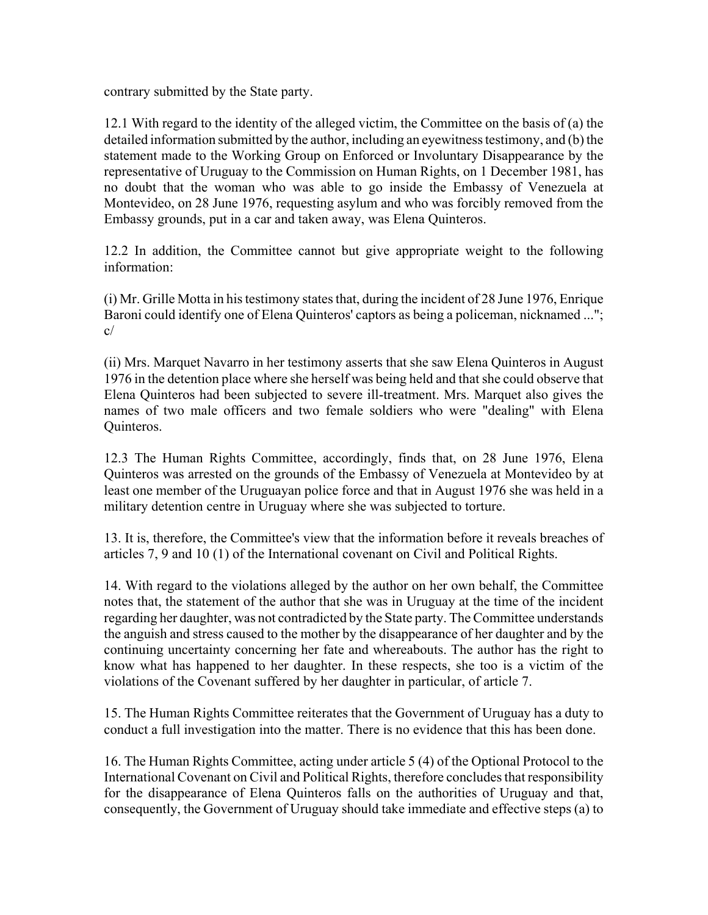contrary submitted by the State party.

12.1 With regard to the identity of the alleged victim, the Committee on the basis of (a) the detailed information submitted by the author, including an eyewitness testimony, and (b) the statement made to the Working Group on Enforced or Involuntary Disappearance by the representative of Uruguay to the Commission on Human Rights, on 1 December 1981, has no doubt that the woman who was able to go inside the Embassy of Venezuela at Montevideo, on 28 June 1976, requesting asylum and who was forcibly removed from the Embassy grounds, put in a car and taken away, was Elena Quinteros.

12.2 In addition, the Committee cannot but give appropriate weight to the following information:

(i) Mr. Grille Motta in his testimony states that, during the incident of 28 June 1976, Enrique Baroni could identify one of Elena Quinteros' captors as being a policeman, nicknamed ..."; c/

(ii) Mrs. Marquet Navarro in her testimony asserts that she saw Elena Quinteros in August 1976 in the detention place where she herself was being held and that she could observe that Elena Quinteros had been subjected to severe ill-treatment. Mrs. Marquet also gives the names of two male officers and two female soldiers who were "dealing" with Elena Quinteros.

12.3 The Human Rights Committee, accordingly, finds that, on 28 June 1976, Elena Quinteros was arrested on the grounds of the Embassy of Venezuela at Montevideo by at least one member of the Uruguayan police force and that in August 1976 she was held in a military detention centre in Uruguay where she was subjected to torture.

13. It is, therefore, the Committee's view that the information before it reveals breaches of articles 7, 9 and 10 (1) of the International covenant on Civil and Political Rights.

14. With regard to the violations alleged by the author on her own behalf, the Committee notes that, the statement of the author that she was in Uruguay at the time of the incident regarding her daughter, was not contradicted by the State party. The Committee understands the anguish and stress caused to the mother by the disappearance of her daughter and by the continuing uncertainty concerning her fate and whereabouts. The author has the right to know what has happened to her daughter. In these respects, she too is a victim of the violations of the Covenant suffered by her daughter in particular, of article 7.

15. The Human Rights Committee reiterates that the Government of Uruguay has a duty to conduct a full investigation into the matter. There is no evidence that this has been done.

16. The Human Rights Committee, acting under article 5 (4) of the Optional Protocol to the International Covenant on Civil and Political Rights, therefore concludes that responsibility for the disappearance of Elena Quinteros falls on the authorities of Uruguay and that, consequently, the Government of Uruguay should take immediate and effective steps (a) to